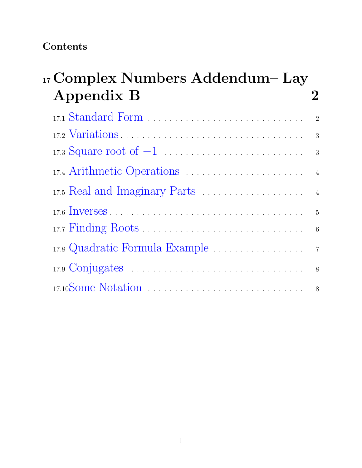## Contents

| 17 Complex Numbers Addendum– Lay |            |  |  |  |                |
|----------------------------------|------------|--|--|--|----------------|
|                                  | Appendix B |  |  |  |                |
|                                  |            |  |  |  | $\overline{2}$ |
|                                  |            |  |  |  | 3              |
|                                  |            |  |  |  |                |
|                                  |            |  |  |  |                |
|                                  |            |  |  |  |                |
|                                  |            |  |  |  |                |
|                                  |            |  |  |  | 6              |
|                                  |            |  |  |  |                |
|                                  |            |  |  |  | 8              |
|                                  |            |  |  |  |                |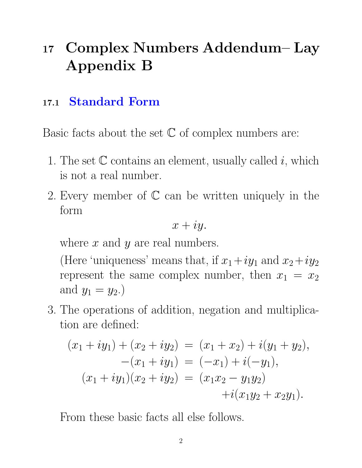# <sup>17</sup> Complex Numbers Addendum– Lay Appendix B

# 17.1 Standard Form

Basic facts about the set  $\mathbb C$  of complex numbers are:

- 1. The set  $\mathbb C$  contains an element, usually called i, which is not a real number.
- 2. Every member of  $\mathbb C$  can be written uniquely in the form

$$
x+iy.
$$

where  $x$  and  $y$  are real numbers.

(Here 'uniqueness' means that, if  $x_1+iy_1$  and  $x_2+iy_2$ represent the same complex number, then  $x_1 = x_2$ and  $y_1 = y_2$ .

3. The operations of addition, negation and multiplication are defined:

$$
(x_1 + iy_1) + (x_2 + iy_2) = (x_1 + x_2) + i(y_1 + y_2),
$$
  
\n
$$
-(x_1 + iy_1) = (-x_1) + i(-y_1),
$$
  
\n
$$
(x_1 + iy_1)(x_2 + iy_2) = (x_1x_2 - y_1y_2)
$$
  
\n
$$
+i(x_1y_2 + x_2y_1).
$$

From these basic facts all else follows.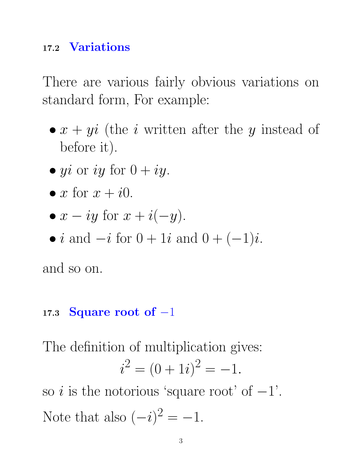## 17.2 Variations

There are various fairly obvious variations on standard form, For example:

- $x + yi$  (the *i* written after the *y* instead of before it).
- yi or iy for  $0 + iy$ .
- $x$  for  $x + i0$ .
- $x iy$  for  $x + i(-y)$ .
- *i* and  $-i$  for  $0 + 1i$  and  $0 + (-1)i$ .

and so on.

## 17.3 Square root of  $-1$

The definition of multiplication gives:

$$
i^2 = (0+1i)^2 = -1.
$$

so i is the notorious 'square root' of  $-1$ '. Note that also  $(-i)^2 = -1$ .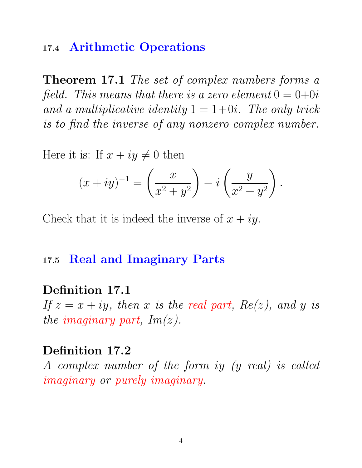### 17.4 Arithmetic Operations

Theorem 17.1 The set of complex numbers forms a field. This means that there is a zero element  $0 = 0+0i$ and a multiplicative identity  $1 = 1+0i$ . The only trick is to find the inverse of any nonzero complex number.

Here it is: If  $x + iy \neq 0$  then

$$
(x+iy)^{-1} = \left(\frac{x}{x^2+y^2}\right) - i\left(\frac{y}{x^2+y^2}\right).
$$

Check that it is indeed the inverse of  $x + iy$ .

#### 17.5 Real and Imaginary Parts

#### Definition 17.1

If  $z = x + iy$ , then x is the real part,  $Re(z)$ , and y is the imaginary part,  $Im(z)$ .

#### Definition 17.2

A complex number of the form iy (y real) is called imaginary or purely imaginary.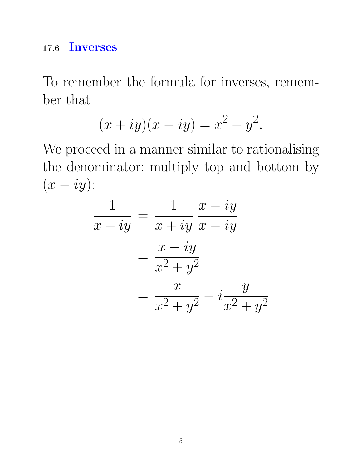## 17.6 Inverses

To remember the formula for inverses, remember that

$$
(x+iy)(x-iy) = x^2 + y^2.
$$

We proceed in a manner similar to rationalising the denominator: multiply top and bottom by  $(x - iy)$ :

$$
\frac{1}{x+iy} = \frac{1}{x+iy} \frac{x-iy}{x-iy}
$$

$$
= \frac{x-iy}{x^2+y^2}
$$

$$
= \frac{x}{x^2+y^2} - i\frac{y}{x^2+y^2}
$$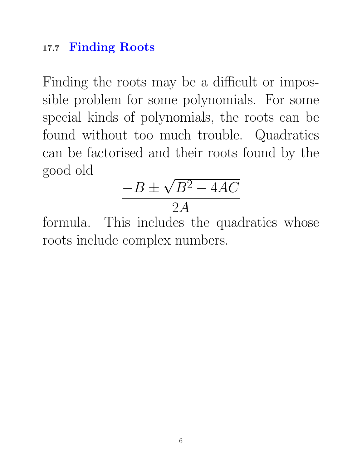# 17.7 Finding Roots

Finding the roots may be a difficult or impossible problem for some polynomials. For some special kinds of polynomials, the roots can be found without too much trouble. Quadratics can be factorised and their roots found by the good old √

$$
\frac{-B \pm \sqrt{B^2 - 4AC}}{2A}
$$

formula. This includes the quadratics whose roots include complex numbers.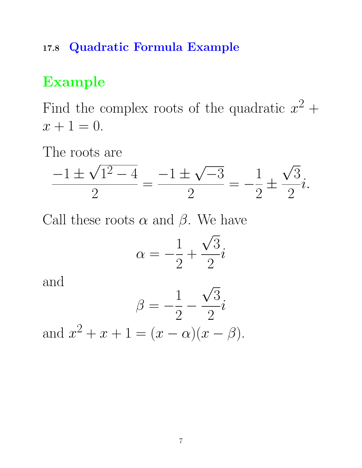## 17.8 Quadratic Formula Example

# Example

Find the complex roots of the quadratic  $x^2 +$  $x + 1 = 0.$ 

The roots are ∪∪<br>∕

$$
\frac{-1 \pm \sqrt{1^2 - 4}}{2} = \frac{-1 \pm \sqrt{-3}}{2} = -\frac{1}{2} \pm \frac{\sqrt{3}}{2}i.
$$

Call these roots  $\alpha$  and  $\beta$ . We have

$$
\alpha = -\frac{1}{2} + \frac{\sqrt{3}}{2}i
$$

and

$$
\beta = -\frac{1}{2} - \frac{\sqrt{3}}{2}i
$$

and  $x^2 + x + 1 = (x - \alpha)(x - \beta)$ .